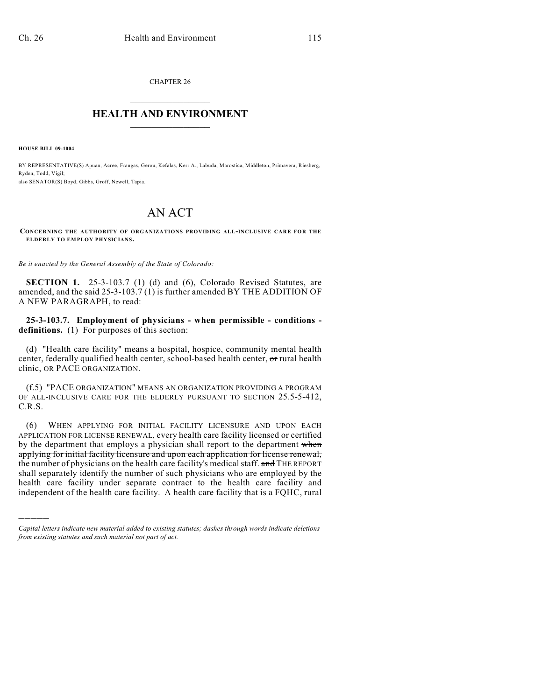CHAPTER 26  $\overline{\phantom{a}}$  . The set of the set of the set of the set of the set of the set of the set of the set of the set of the set of the set of the set of the set of the set of the set of the set of the set of the set of the set o

## **HEALTH AND ENVIRONMENT**  $\_$

**HOUSE BILL 09-1004**

)))))

BY REPRESENTATIVE(S) Apuan, Acree, Frangas, Gerou, Kefalas, Kerr A., Labuda, Marostica, Middleton, Primavera, Riesberg, Ryden, Todd, Vigil; also SENATOR(S) Boyd, Gibbs, Groff, Newell, Tapia.

## AN ACT

**CONCERNING THE AUTHORITY OF ORGANIZATIONS PROVIDING ALL-INCLUSIVE CARE FOR THE ELDERLY TO EMPLOY PHYSICIANS.**

*Be it enacted by the General Assembly of the State of Colorado:*

**SECTION 1.** 25-3-103.7 (1) (d) and (6), Colorado Revised Statutes, are amended, and the said 25-3-103.7 (1) is further amended BY THE ADDITION OF A NEW PARAGRAPH, to read:

**25-3-103.7. Employment of physicians - when permissible - conditions**  definitions. (1) For purposes of this section:

(d) "Health care facility" means a hospital, hospice, community mental health center, federally qualified health center, school-based health center, or rural health clinic, OR PACE ORGANIZATION.

(f.5) "PACE ORGANIZATION" MEANS AN ORGANIZATION PROVIDING A PROGRAM OF ALL-INCLUSIVE CARE FOR THE ELDERLY PURSUANT TO SECTION 25.5-5-412, C.R.S.

(6) WHEN APPLYING FOR INITIAL FACILITY LICENSURE AND UPON EACH APPLICATION FOR LICENSE RENEWAL, every health care facility licensed or certified by the department that employs a physician shall report to the department when applying for initial facility licensure and upon each application for license renewal, the number of physicians on the health care facility's medical staff. and THE REPORT shall separately identify the number of such physicians who are employed by the health care facility under separate contract to the health care facility and independent of the health care facility. A health care facility that is a FQHC, rural

*Capital letters indicate new material added to existing statutes; dashes through words indicate deletions from existing statutes and such material not part of act.*